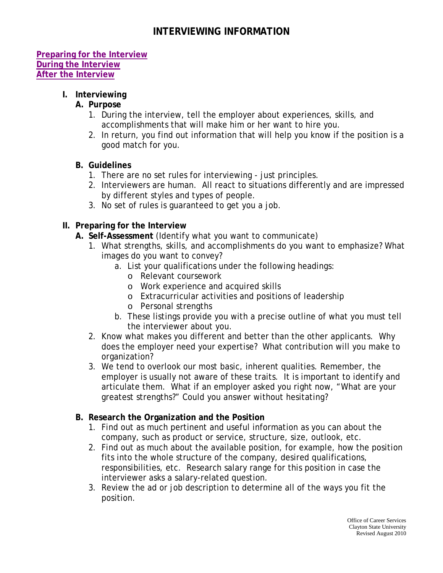# **INTERVIEWING INFORMATION**

#### **[Preparing for the Interview](#page-0-0) [During the Interview](#page-1-0) [After the Interview](#page-2-0)**

## <span id="page-0-0"></span>**I. Interviewing**

#### **A. Purpose**

- 1. During the interview, tell the employer about experiences, skills, and accomplishments that will make him or her want to hire you.
- 2. In return, you find out information that will help you know if the position is a good match for you.

#### **B. Guidelines**

- 1. There are no set rules for interviewing just principles.
- 2. Interviewers are human. All react to situations differently and are impressed by different styles and types of people.
- 3. No set of rules is guaranteed to get you a job.

#### **II. Preparing for the Interview**

- **A. Self-Assessment** (Identify what you want to communicate)
	- 1. What strengths, skills, and accomplishments do you want to emphasize? What images do you want to convey?
		- a. List your qualifications under the following headings:
			- o Relevant coursework
			- o Work experience and acquired skills
			- o Extracurricular activities and positions of leadership
			- o Personal strengths
		- b. These listings provide you with a precise outline of what you must tell the interviewer about you.
	- 2. Know what makes you different and better than the other applicants. Why does the employer need your expertise? What contribution will you make to organization?
	- 3. We tend to overlook our most basic, inherent qualities. Remember, the employer is usually not aware of these traits. It is important to identify and articulate them. What if an employer asked you right now, "What are your greatest strengths?" Could you answer without hesitating?

#### **B. Research the Organization and the Position**

- 1. Find out as much pertinent and useful information as you can about the company, such as product or service, structure, size, outlook, etc.
- 2. Find out as much about the available position, for example, how the position fits into the whole structure of the company, desired qualifications, responsibilities, etc. Research salary range for this position in case the interviewer asks a salary-related question.
- 3. Review the ad or job description to determine all of the ways you fit the position.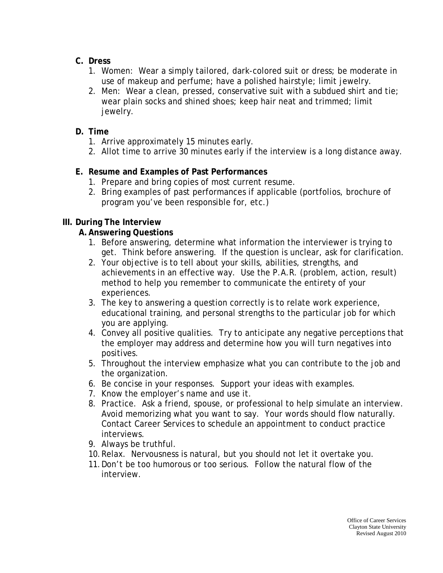- **C. Dress**
	- 1. *Women*: Wear a simply tailored, dark-colored suit or dress; be moderate in use of makeup and perfume; have a polished hairstyle; limit jewelry.
	- 2. *Men*: Wear a clean, pressed, conservative suit with a subdued shirt and tie; wear plain socks and shined shoes; keep hair neat and trimmed; limit jewelry.

# **D. Time**

- 1. Arrive approximately 15 minutes early.
- 2. Allot time to arrive 30 minutes early if the interview is a long distance away.

# **E. Resume and Examples of Past Performances**

- 1. Prepare and bring copies of most current resume.
- 2. Bring examples of past performances if applicable (portfolios, brochure of program you've been responsible for, etc.)

# <span id="page-1-0"></span>**III. During The Interview**

# **A.Answering Questions**

- 1. Before answering, determine what information the interviewer is trying to get. Think before answering. If the question is unclear, ask for clarification.
- 2. Your objective is to tell about your skills, abilities, strengths, and achievements in an effective way. Use the P.A.R. (problem, action, result) method to help you remember to communicate the entirety of your experiences.
- 3. The key to answering a question correctly is to relate work experience, educational training, and personal strengths to the particular job for which you are applying.
- 4. Convey all positive qualities. Try to anticipate any negative perceptions that the employer may address and determine how you will turn negatives into positives.
- 5. Throughout the interview emphasize what you can contribute to the job and the organization.
- 6. Be concise in your responses. Support your ideas with examples.
- 7. Know the employer's name and use it.
- 8. Practice. Ask a friend, spouse, or professional to help simulate an interview. Avoid memorizing what you want to say. Your words should flow naturally. Contact Career Services to schedule an appointment to conduct practice interviews.
- 9. Always be truthful.
- 10.Relax. Nervousness is natural, but you should not let it overtake you.
- 11.Don't be too humorous or too serious. Follow the natural flow of the interview.